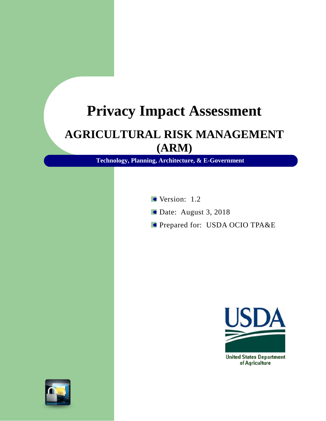# **Privacy Impact Assessment**

# **AGRICULTURAL RISK MANAGEMENT (ARM)**

**Technology, Planning, Architecture, & E-Government**

Version: 1.2

- Date: August 3, 2018
- **Prepared for: USDA OCIO TPA&E**



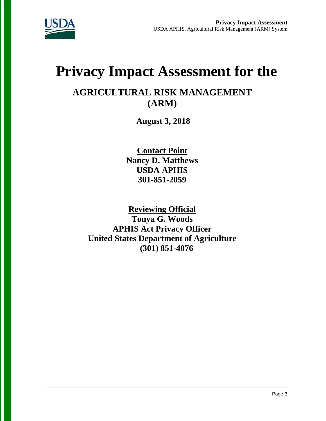

# **Privacy Impact Assessment for the**

### **AGRICULTURAL RISK MANAGEMENT (ARM)**

**August 3, 2018**

**Contact Point Nancy D. Matthews USDA APHIS 301-851-2059**

**Reviewing Official Tonya G. Woods APHIS Act Privacy Officer United States Department of Agriculture (301) 851-4076**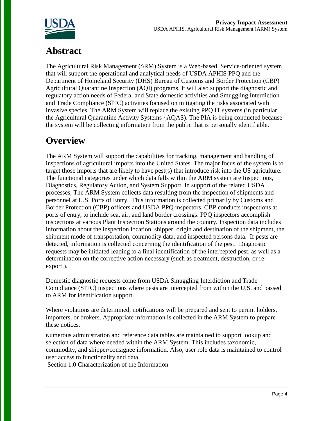

# **Abstract**

The Agricultural Risk Management ( $\land$ RM) System is a Web-based. Service-oriented system that will support the operational and analytical needs of USDA APHIS PPQ and the Department of Homeland Security (DHS) Bureau of Customs and Border Protection (CBP) Agricultural Quarantine Inspection (AQI) programs. It will also support the diagnostic and regulatory action needs of Federal and State domestic activities and Smuggling Interdiction and Trade Compliance (SlTC) activities focused on mitigating the risks associated with invasive species. The ARM System will replace the existing PPQ IT systems (in particular the Agricultural Quarantine Activity Systems {AQAS). The PIA is being conducted because the system will be collecting information from the public that is personally identifiable.

# **Overview**

The ARM System will support the capabilities for tracking, management and handling of inspections of agricultural imports into the United States. The major focus of the system is to target those imports that are likely to have pest(s) that introduce risk into the US agriculture. The functional categories under which data falls within the ARM system are Inspections, Diagnostics, Regulatory Action, and System Support. In support of the related USDA processes, The ARM System collects data resulting from the inspection of shipments and personnel at U.S. Ports of Entry. This information is collected primarily by Customs and Border Protection (CBP) officers and USDA PPQ inspectors. CBP conducts inspections at ports of entry, to include sea, air, and land border crossings. PPQ inspectors accomplish inspections at various Plant Inspection Stations around the country. Inspection data includes information about the inspection location, shipper, origin and destination of the shipment, the shipment mode of transportation, commodity data, and inspected persons data. If pests are detected, information is collected concerning the identification of the pest. Diagnostic requests may be initiated leading to a final identification of the intercepted pest, as well as a determination on the corrective action necessary (such as treatment, destruction, or reexport.).

Domestic diagnostic requests come from USDA Smuggling Interdiction and Trade Compliance (SITC) inspections where pests are intercepted from within the U.S. and passed to ARM for identification support.

Where violations are determined, notifications will be prepared and sent to permit holders, importers, or brokers. Appropriate information is collected in the ARM System to prepare these notices.

Numerous administration and reference data tables are maintained to support lookup and selection of data where needed within the ARM System. This includes taxonomic, commodity, and shipper/consignee information. Also, user role data is maintained to control user access to functionality and data.

Section 1.0 Characterization of the Information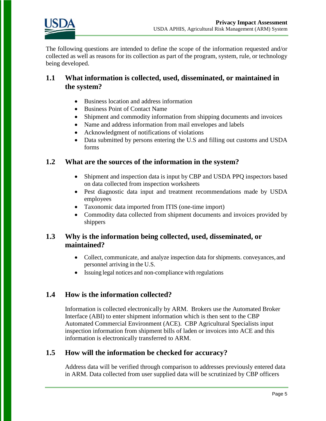

The following questions are intended to define the scope of the information requested and/or collected as well as reasons for its collection as part of the program, system, rule, or technology being developed.

### **1.1 What information is collected, used, disseminated, or maintained in the system?**

- Business location and address information
- Business Point of Contact Name
- Shipment and commodity information from shipping documents and invoices
- Name and address information from mail envelopes and labels
- Acknowledgment of notifications of violations
- Data submitted by persons entering the U.S and filling out customs and USDA forms

### **1.2 What are the sources of the information in the system?**

- Shipment and inspection data is input by CBP and USDA PPQ inspectors based on data collected from inspection worksheets
- Pest diagnostic data input and treatment recommendations made by USDA employees
- Taxonomic data imported from ITIS (one-time import)
- Commodity data collected from shipment documents and invoices provided by shippers

### **1.3 Why is the information being collected, used, disseminated, or maintained?**

- Collect, communicate, and analyze inspection data for shipments. conveyances, and personnel arriving in the U.S.
- Issuing legal notices and non-compliance with regulations

### **1.4 How is the information collected?**

Information is collected electronically by ARM. Brokers use the Automated Broker Interface (ABI) to enter shipment information which is then sent to the CBP Automated Commercial Environment (ACE). CBP Agricultural Specialists input inspection information from shipment bills of laden or invoices into ACE and this information is electronically transferred to ARM.

#### **1.5 How will the information be checked for accuracy?**

Address data will be verified through comparison to addresses previously entered data in ARM. Data collected from user supplied data will be scrutinized by CBP officers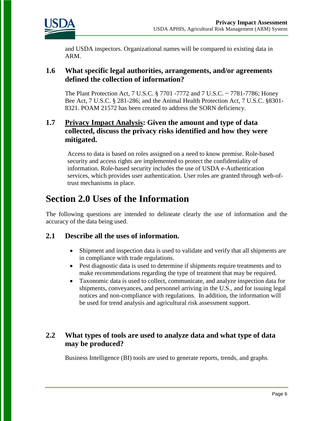

and USDA inspectors. Organizational names will be compared to existing data in ARM.

#### **1.6 What specific legal authorities, arrangements, and/or agreements defined the collection of information?**

The Plant Protection Act, 7 U.S.C. § 7701 -7772 and 7 U.S.C. ~ 7781-7786; Honey Bee Act, 7 U.S.C. § 281-286; and the Animal Health Protection Act, 7 U.S.C. §8301- 8321. POAM 21572 has been created to address the SORN deficiency.

### **1.7 Privacy Impact Analysis: Given the amount and type of data collected, discuss the privacy risks identified and how they were mitigated.**

Access to data is based on roles assigned on a need to know premise. Role-based security and access rights are implemented to protect the confidentiality of information. Role-based security includes the use of USDA e-Authentication services, which provides user authentication. User roles are granted through web-oftrust mechanisms in place.

### **Section 2.0 Uses of the Information**

The following questions are intended to delineate clearly the use of information and the accuracy of the data being used.

#### **2.1 Describe all the uses of information.**

- Shipment and inspection data is used to validate and verify that all shipments are in compliance with trade regulations.
- Pest diagnostic data is used to determine if shipments require treatments and to make recommendations regarding the type of treatment that may be required.
- Taxonomic data is used to collect, communicate, and analyze inspection data for shipments, conveyances, and personnel arriving in the U.S., and for issuing legal notices and non-compliance with regulations. In addition, the information will be used for trend analysis and agricultural risk assessment support.

### **2.2 What types of tools are used to analyze data and what type of data may be produced?**

Business Intelligence (BI) tools are used to generate reports, trends, and graphs.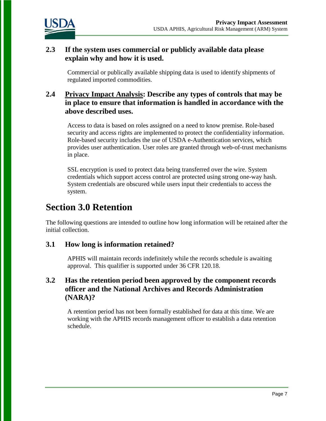

### **2.3 If the system uses commercial or publicly available data please explain why and how it is used.**

Commercial or publically available shipping data is used to identify shipments of regulated imported commodities.

### **2.4 Privacy Impact Analysis: Describe any types of controls that may be in place to ensure that information is handled in accordance with the above described uses.**

Access to data is based on roles assigned on a need to know premise. Role-based security and access rights are implemented to protect the confidentiality information. Role-based security includes the use of USDA e-Authentication services, which provides user authentication. User roles are granted through web-of-trust mechanisms in place.

SSL encryption is used to protect data being transferred over the wire. System credentials which support access control are protected using strong one-way hash. System credentials are obscured while users input their credentials to access the system.

### **Section 3.0 Retention**

The following questions are intended to outline how long information will be retained after the initial collection.

### **3.1 How long is information retained?**

APHIS will maintain records indefinitely while the records schedule is awaiting approval. This qualifier is supported under 36 CFR 120.18.

### **3.2 Has the retention period been approved by the component records officer and the National Archives and Records Administration (NARA)?**

A retention period has not been formally established for data at this time. We are working with the APHIS records management officer to establish a data retention schedule.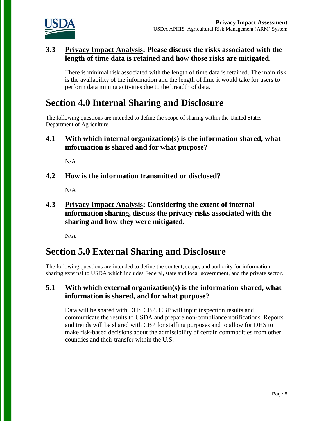

### **3.3 Privacy Impact Analysis: Please discuss the risks associated with the length of time data is retained and how those risks are mitigated.**

There is minimal risk associated with the length of time data is retained. The main risk is the availability of the information and the length of lime it would take for users to perform data mining activities due to the breadth of data.

## **Section 4.0 Internal Sharing and Disclosure**

The following questions are intended to define the scope of sharing within the United States Department of Agriculture.

**4.1 With which internal organization(s) is the information shared, what information is shared and for what purpose?** 

N/A

**4.2 How is the information transmitted or disclosed?** 

N/A

**4.3 Privacy Impact Analysis: Considering the extent of internal information sharing, discuss the privacy risks associated with the sharing and how they were mitigated.** 

N/A

## **Section 5.0 External Sharing and Disclosure**

The following questions are intended to define the content, scope, and authority for information sharing external to USDA which includes Federal, state and local government, and the private sector.

### **5.1 With which external organization(s) is the information shared, what information is shared, and for what purpose?**

Data will be shared with DHS CBP. CBP will input inspection results and communicate the results to USDA and prepare non-compliance notifications. Reports and trends will be shared with CBP for staffing purposes and to allow for DHS to make risk-based decisions about the admissibility of certain commodities from other countries and their transfer within the U.S.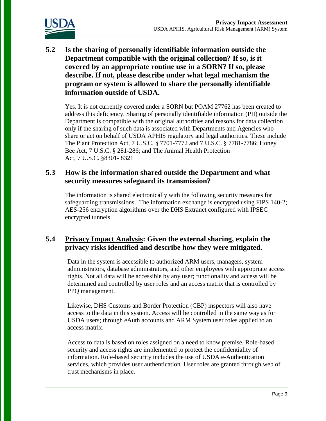

**5.2 Is the sharing of personally identifiable information outside the Department compatible with the original collection? If so, is it covered by an appropriate routine use in a SORN? If so, please describe. If not, please describe under what legal mechanism the program or system is allowed to share the personally identifiable information outside of USDA.** 

Yes. It is not currently covered under a SORN but POAM 27762 has been created to address this deficiency. Sharing of personally identifiable information (PII) outside the Department is compatible with the original authorities and reasons for data collection only if the sharing of such data is associated with Departments and Agencies who share or act on behalf of USDA APHIS regulatory and legal authorities. These include The Plant Protection Act, 7 U.S.C. § 7701-7772 and 7 U.S.C. § 7781-7786; Honey Bee Act, 7 U.S.C. § 281-286; and The Animal Health Protection Act, 7 U.S.C. §8301- 8321

### **5.3 How is the information shared outside the Department and what security measures safeguard its transmission?**

The information is shared electronically with the following security measures for safeguarding transmissions. The information exchange is encrypted using FIPS 140-2; AES-256 encryption algorithms over the DHS Extranet configured with IPSEC encrypted tunnels.

### **5.4 Privacy Impact Analysis: Given the external sharing, explain the privacy risks identified and describe how they were mitigated.**

Data in the system is accessible to authorized ARM users, managers, system administrators, database administrators, and other employees with appropriate access rights. Not all data will be accessible by any user; functionality and access will be determined and controlled by user roles and an access matrix that is controlled by PPQ management.

Likewise, DHS Customs and Border Protection (CBP) inspectors will also have access to the data in this system. Access will be controlled in the same way as for USDA users; through eAuth accounts and ARM System user roles applied to an access matrix.

Access to data is based on roles assigned on a need to know premise. Role-based security and access rights are implemented to protect the confidentiality of information. Role-based security includes the use of USDA e-Authentication services, which provides user authentication. User roles are granted through web of trust mechanisms in place.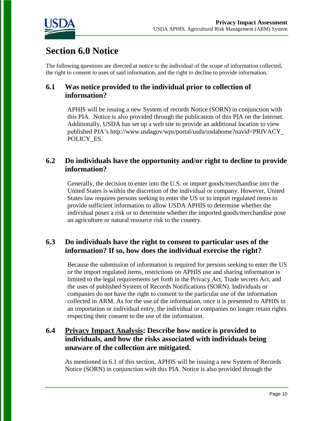

# **Section 6.0 Notice**

The following questions are directed at notice to the individual of the scope of information collected, the right to consent to uses of said information, and the right to decline to provide information.

### **6.1 Was notice provided to the individual prior to collection of information?**

APHIS will be issuing a new System of records Notice (SORN) in conjunction with this PIA. Notice is also provided through the publication of this PIA on the Internet. Additionally, USDA has set up a web site to provide an additional location to view published PIA's http://www.usdagov/wps/portal/usda/usdahome?navid=PRIVACY\_ POLICY\_ES.

### **6.2 Do individuals have the opportunity and/or right to decline to provide information?**

Generally, the decision to enter into the U.S. or import goods/merchandise into the United States is within the discretion of the individual or company. However, United States law requires persons seeking to enter the US or to import regulated items to provide sufficient information to allow USDA APHIS to determine whether the individual poses a risk or to determine whether the imported goods/merchandise pose an agriculture or natural resource risk to the country.

### **6.3 Do individuals have the right to consent to particular uses of the information? If so, how does the individual exercise the right?**

Because the submission of information is required for persons seeking to enter the US or the import regulated items, restrictions on APHIS use and sharing information is limited to the legal requirements set forth in the Privacy Act, Trade secrets Act, and the uses of published System of Records Notifications (SORN). Individuals or companies do not have the right to consent to the particular use of the information collected in ARM. As for the use of the information, once it is presented to APHIS in an importation or individual entry, the individual or companies no longer retain rights respecting their consent to the use of the information.

### **6.4 Privacy Impact Analysis: Describe how notice is provided to individuals, and how the risks associated with individuals being unaware of the collection are mitigated.**

As mentioned in 6.1 of this section, APHIS will be issuing a new System of Records Notice (SORN) in conjunction with this PIA. Notice is also provided through the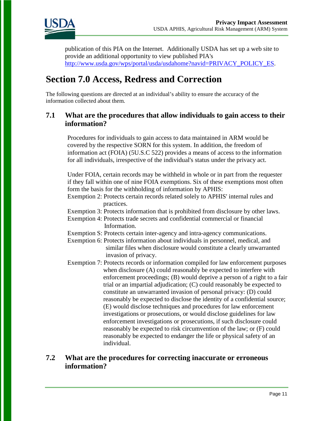

publication of this PIA on the Internet. Additionally USDA has set up a web site to provide an additional opportunity to view published PIA's [http://www.usda.gov/wps/portal/usda/usdahome?navid=PRIVACY\\_POLICY\\_ES.](http://www.usda.gov/wps/portal/usda/usdahome?navid=PRIVACY_POLICY_ES)

### **Section 7.0 Access, Redress and Correction**

The following questions are directed at an individual's ability to ensure the accuracy of the information collected about them.

### **7.1 What are the procedures that allow individuals to gain access to their information?**

Procedures for individuals to gain access to data maintained in ARM would be covered by the respective SORN for this system. In addition, the freedom of information act (FOIA) (5U.S.C 522) provides a means of access to the information for all individuals, irrespective of the individual's status under the privacy act.

Under FOIA, certain records may be withheld in whole or in part from the requester if they fall within one of nine FOIA exemptions. Six of these exemptions most often form the basis for the withholding of information by APHIS:

Exemption 2: Protects certain records related solely to APHIS' internal rules and practices.

- Exemption 3: Protects information that is prohibited from disclosure by other laws.
- Exemption 4: Protects trade secrets and confidential commercial or financial Information.
- Exemption S: Protects certain inter-agency and intra-agency communications.
- Exemption 6: Protects information about individuals in personnel, medical, and similar files when disclosure would constitute a clearly unwarranted invasion of privacy.
- Exemption 7: Protects records or information compiled for law enforcement purposes when disclosure (A) could reasonably be expected to interfere with enforcement proceedings; (B) would deprive a person of a right to a fair trial or an impartial adjudication; (C) could reasonably be expected to constitute an unwarranted invasion of personal privacy: (D) could reasonably be expected to disclose the identity of a confidential source; (E) would disclose techniques and procedures for law enforcement investigations or prosecutions, or would disclose guidelines for law enforcement investigations or prosecutions, if such disclosure could reasonably be expected to risk circumvention of the law; or (F) could reasonably be expected to endanger the life or physical safety of an individual.

### **7.2 What are the procedures for correcting inaccurate or erroneous information?**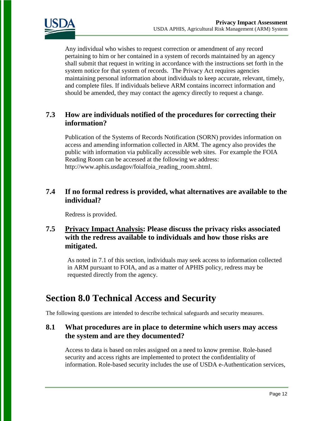

Any individual who wishes to request correction or amendment of any record pertaining to him or her contained in a system of records maintained by an agency shall submit that request in writing in accordance with the instructions set forth in the system notice for that system of records. The Privacy Act requires agencies maintaining personal information about individuals to keep accurate, relevant, timely, and complete files. If individuals believe ARM contains incorrect information and should be amended, they may contact the agency directly to request a change.

### **7.3 How are individuals notified of the procedures for correcting their information?**

Publication of the Systems of Records Notification (SORN) provides information on access and amending information collected in ARM. The agency also provides the public with information via publically accessible web sites. For example the FOIA Reading Room can be accessed at the following we address: http://www.aphis.usdagov/foialfoia\_reading\_room.shtml.

### **7.4 If no formal redress is provided, what alternatives are available to the individual?**

Redress is provided.

### **7.5 Privacy Impact Analysis: Please discuss the privacy risks associated with the redress available to individuals and how those risks are mitigated.**

As noted in 7.1 of this section, individuals may seek access to information collected in ARM pursuant to FOIA, and as a matter of APHIS policy, redress may be requested directly from the agency.

### **Section 8.0 Technical Access and Security**

The following questions are intended to describe technical safeguards and security measures.

### **8.1 What procedures are in place to determine which users may access the system and are they documented?**

Access to data is based on roles assigned on a need to know premise. Role-based security and access rights are implemented to protect the confidentiality of information. Role-based security includes the use of USDA e-Authentication services,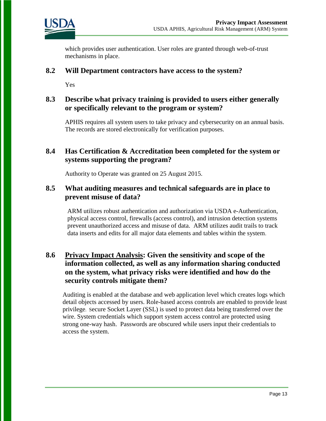

which provides user authentication. User roles are granted through web-of-trust mechanisms in place.

#### **8.2 Will Department contractors have access to the system?**

Yes

### **8.3 Describe what privacy training is provided to users either generally or specifically relevant to the program or system?**

APHIS requires all system users to take privacy and cybersecurity on an annual basis. The records are stored electronically for verification purposes.

### **8.4 Has Certification & Accreditation been completed for the system or systems supporting the program?**

Authority to Operate was granted on 25 August 2015.

### **8.5 What auditing measures and technical safeguards are in place to prevent misuse of data?**

ARM utilizes robust authentication and authorization via USDA e-Authentication, physical access control, firewalls (access control), and intrusion detection systems prevent unauthorized access and misuse of data. ARM utilizes audit trails to track data inserts and edits for all major data elements and tables within the system.

### **8.6 Privacy Impact Analysis: Given the sensitivity and scope of the information collected, as well as any information sharing conducted on the system, what privacy risks were identified and how do the security controls mitigate them?**

Auditing is enabled at the database and web application level which creates logs which detail objects accessed by users. Role-based access controls are enabled to provide least privilege. Secure Socket Layer (SSL) is used to protect data being transferred over the wire. System credentials which support system access control are protected using strong one-way hash. Passwords are obscured while users input their credentials to access the system.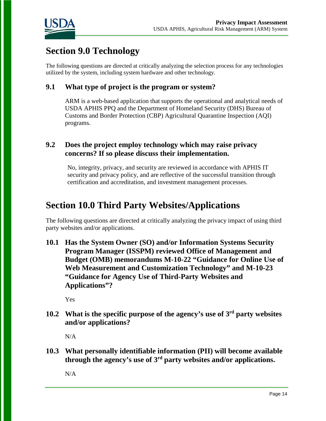

# **Section 9.0 Technology**

The following questions are directed at critically analyzing the selection process for any technologies utilized by the system, including system hardware and other technology.

### **9.1 What type of project is the program or system?**

ARM is a web-based application that supports the operational and analytical needs of USDA APHIS PPQ and the Department of Homeland Security (DHS) Bureau of Customs and Border Protection (CBP) Agricultural Quarantine Inspection (AQI) programs.

### **9.2 Does the project employ technology which may raise privacy concerns? If so please discuss their implementation.**

No, integrity, privacy, and security are reviewed in accordance with APHIS IT security and privacy policy, and are reflective of the successful transition through certification and accreditation, and investment management processes.

### **Section 10.0 Third Party Websites/Applications**

The following questions are directed at critically analyzing the privacy impact of using third party websites and/or applications.

**10.1 Has the System Owner (SO) and/or Information Systems Security Program Manager (ISSPM) reviewed Office of Management and Budget (OMB) memorandums M-10-22 "Guidance for Online Use of Web Measurement and Customization Technology" and M-10-23 "Guidance for Agency Use of Third-Party Websites and Applications"?**

Yes

**10.2 What is the specific purpose of the agency's use of 3rd party websites and/or applications?**

N/A

**10.3 What personally identifiable information (PII) will become available through the agency's use of 3rd party websites and/or applications.**

N/A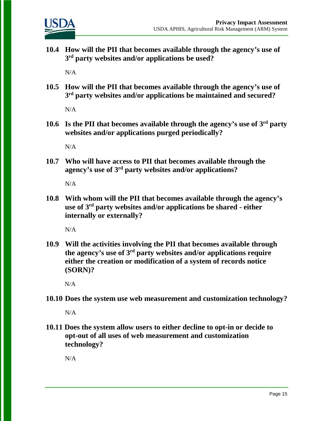

**10.4 How will the PII that becomes available through the agency's use of 3rd party websites and/or applications be used?**

 $N/A$ 

**10.5 How will the PII that becomes available through the agency's use of 3rd party websites and/or applications be maintained and secured?**

 $N/A$ 

**10.6 Is the PII that becomes available through the agency's use of 3rd party websites and/or applications purged periodically?** 

N/A

**10.7 Who will have access to PII that becomes available through the agency's use of 3rd party websites and/or applications?**

N/A

**10.8 With whom will the PII that becomes available through the agency's use of 3rd party websites and/or applications be shared - either internally or externally?**

N/A

**10.9 Will the activities involving the PII that becomes available through the agency's use of 3rd party websites and/or applications require either the creation or modification of a system of records notice (SORN)?**

N/A

**10.10 Does the system use web measurement and customization technology?**

N/A

**10.11 Does the system allow users to either decline to opt-in or decide to opt-out of all uses of web measurement and customization technology?**

N/A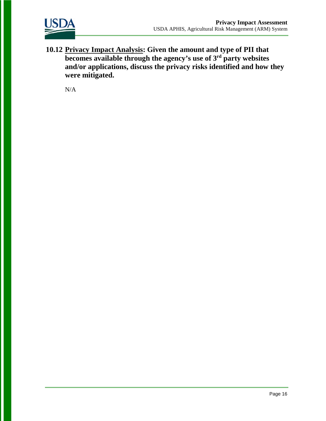

**10.12 Privacy Impact Analysis: Given the amount and type of PII that becomes available through the agency's use of 3rd party websites and/or applications, discuss the privacy risks identified and how they were mitigated.** 

N/A